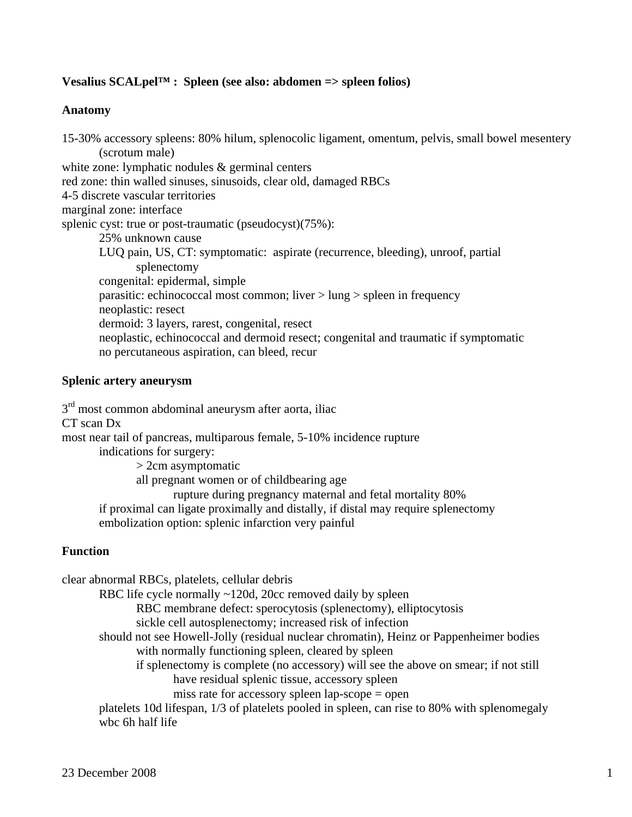## **Vesalius SCALpel™ : Spleen (see also: abdomen => spleen folios)**

### **Anatomy**

15-30% accessory spleens: 80% hilum, splenocolic ligament, omentum, pelvis, small bowel mesentery (scrotum male) white zone: lymphatic nodules & germinal centers red zone: thin walled sinuses, sinusoids, clear old, damaged RBCs 4-5 discrete vascular territories marginal zone: interface splenic cyst: true or post-traumatic (pseudocyst)(75%): 25% unknown cause LUQ pain, US, CT: symptomatic: aspirate (recurrence, bleeding), unroof, partial splenectomy congenital: epidermal, simple parasitic: echinococcal most common; liver > lung > spleen in frequency neoplastic: resect dermoid: 3 layers, rarest, congenital, resect neoplastic, echinococcal and dermoid resect; congenital and traumatic if symptomatic no percutaneous aspiration, can bleed, recur

### **Splenic artery aneurysm**

 $3<sup>rd</sup>$  most common abdominal aneurysm after aorta, iliac CT scan Dx most near tail of pancreas, multiparous female, 5-10% incidence rupture indications for surgery: > 2cm asymptomatic all pregnant women or of childbearing age rupture during pregnancy maternal and fetal mortality 80% if proximal can ligate proximally and distally, if distal may require splenectomy embolization option: splenic infarction very painful

### **Function**

clear abnormal RBCs, platelets, cellular debris RBC life cycle normally ~120d, 20cc removed daily by spleen RBC membrane defect: sperocytosis (splenectomy), elliptocytosis sickle cell autosplenectomy; increased risk of infection should not see Howell-Jolly (residual nuclear chromatin), Heinz or Pappenheimer bodies with normally functioning spleen, cleared by spleen if splenectomy is complete (no accessory) will see the above on smear; if not still have residual splenic tissue, accessory spleen miss rate for accessory spleen lap-scope = open platelets 10d lifespan, 1/3 of platelets pooled in spleen, can rise to 80% with splenomegaly wbc 6h half life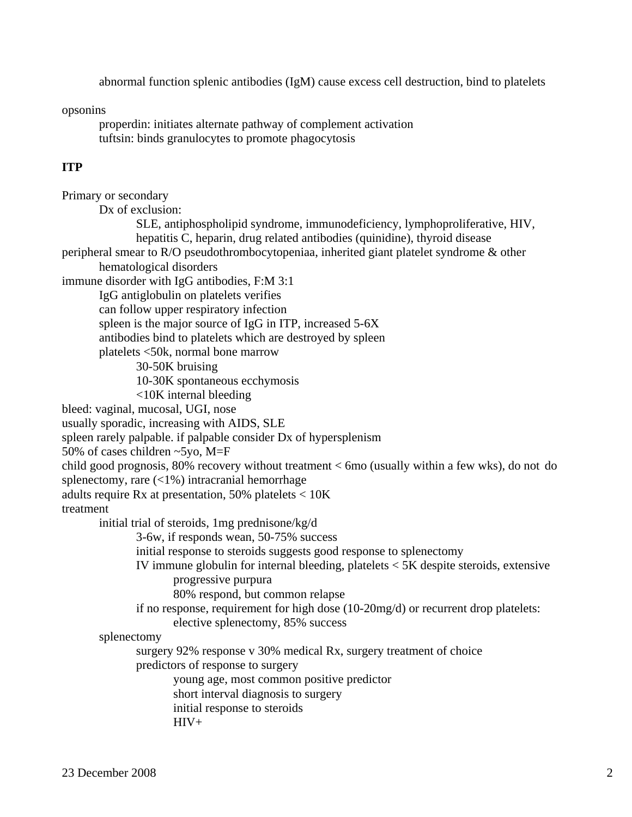abnormal function splenic antibodies (IgM) cause excess cell destruction, bind to platelets

opsonins

 properdin: initiates alternate pathway of complement activation tuftsin: binds granulocytes to promote phagocytosis

## **ITP**

Primary or secondary Dx of exclusion: SLE, antiphospholipid syndrome, immunodeficiency, lymphoproliferative, HIV, hepatitis C, heparin, drug related antibodies (quinidine), thyroid disease peripheral smear to R/O pseudothrombocytopeniaa, inherited giant platelet syndrome & other hematological disorders immune disorder with IgG antibodies, F:M 3:1 IgG antiglobulin on platelets verifies can follow upper respiratory infection spleen is the major source of IgG in ITP, increased 5-6X antibodies bind to platelets which are destroyed by spleen platelets <50k, normal bone marrow 30-50K bruising 10-30K spontaneous ecchymosis <10K internal bleeding bleed: vaginal, mucosal, UGI, nose usually sporadic, increasing with AIDS, SLE spleen rarely palpable. if palpable consider Dx of hypersplenism 50% of cases children ~5yo, M=F child good prognosis, 80% recovery without treatment < 6mo (usually within a few wks), do not do splenectomy, rare (<1%) intracranial hemorrhage adults require Rx at presentation, 50% platelets < 10K treatment initial trial of steroids, 1mg prednisone/kg/d 3-6w, if responds wean, 50-75% success initial response to steroids suggests good response to splenectomy IV immune globulin for internal bleeding, platelets < 5K despite steroids, extensive progressive purpura 80% respond, but common relapse if no response, requirement for high dose (10-20mg/d) or recurrent drop platelets: elective splenectomy, 85% success splenectomy surgery 92% response v 30% medical Rx, surgery treatment of choice predictors of response to surgery young age, most common positive predictor short interval diagnosis to surgery initial response to steroids  $HIV+$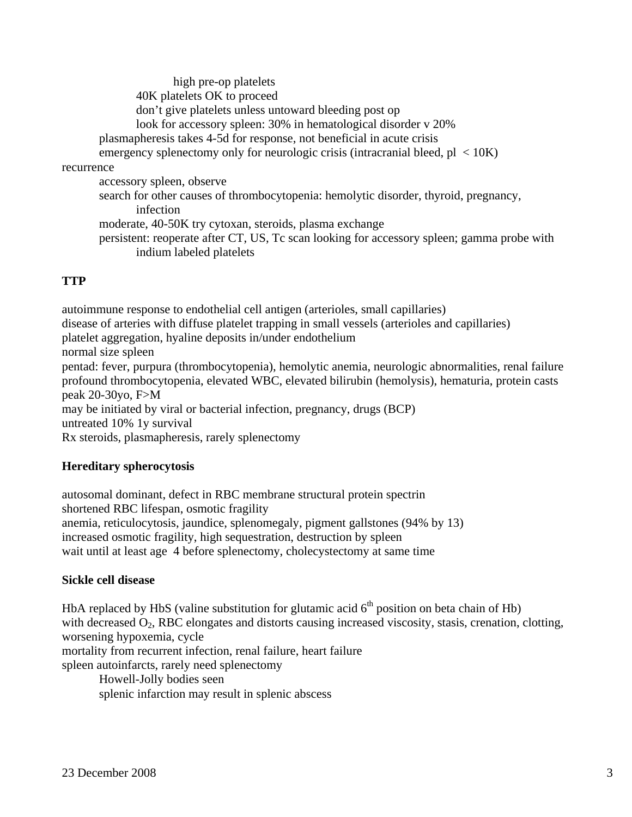high pre-op platelets 40K platelets OK to proceed don't give platelets unless untoward bleeding post op look for accessory spleen: 30% in hematological disorder v 20% plasmapheresis takes 4-5d for response, not beneficial in acute crisis emergency splenectomy only for neurologic crisis (intracranial bleed,  $p1 < 10K$ ) recurrence accessory spleen, observe search for other causes of thrombocytopenia: hemolytic disorder, thyroid, pregnancy, infection moderate, 40-50K try cytoxan, steroids, plasma exchange persistent: reoperate after CT, US, Tc scan looking for accessory spleen; gamma probe with indium labeled platelets

# **TTP**

autoimmune response to endothelial cell antigen (arterioles, small capillaries) disease of arteries with diffuse platelet trapping in small vessels (arterioles and capillaries) platelet aggregation, hyaline deposits in/under endothelium normal size spleen pentad: fever, purpura (thrombocytopenia), hemolytic anemia, neurologic abnormalities, renal failure profound thrombocytopenia, elevated WBC, elevated bilirubin (hemolysis), hematuria, protein casts peak 20-30yo, F>M may be initiated by viral or bacterial infection, pregnancy, drugs (BCP) untreated 10% 1y survival Rx steroids, plasmapheresis, rarely splenectomy

## **Hereditary spherocytosis**

autosomal dominant, defect in RBC membrane structural protein spectrin shortened RBC lifespan, osmotic fragility anemia, reticulocytosis, jaundice, splenomegaly, pigment gallstones (94% by 13) increased osmotic fragility, high sequestration, destruction by spleen wait until at least age 4 before splenectomy, cholecystectomy at same time

## **Sickle cell disease**

HbA replaced by HbS (valine substitution for glutamic acid  $6<sup>th</sup>$  position on beta chain of Hb) with decreased  $O_2$ , RBC elongates and distorts causing increased viscosity, stasis, crenation, clotting, worsening hypoxemia, cycle

mortality from recurrent infection, renal failure, heart failure

spleen autoinfarcts, rarely need splenectomy

Howell-Jolly bodies seen

splenic infarction may result in splenic abscess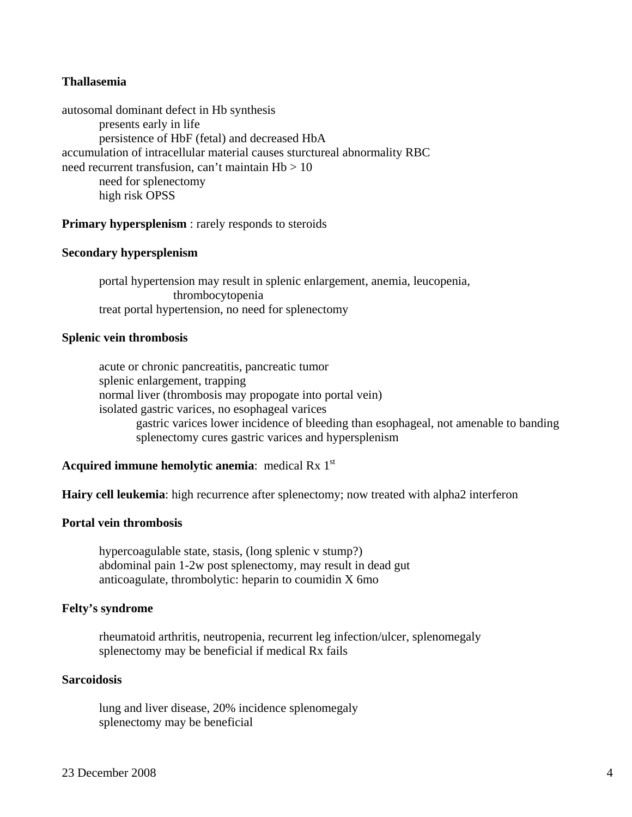### **Thallasemia**

autosomal dominant defect in Hb synthesis presents early in life persistence of HbF (fetal) and decreased HbA accumulation of intracellular material causes sturctureal abnormality RBC need recurrent transfusion, can't maintain  $Hb > 10$  need for splenectomy high risk OPSS

**Primary hypersplenism** : rarely responds to steroids

### **Secondary hypersplenism**

 portal hypertension may result in splenic enlargement, anemia, leucopenia, thrombocytopenia treat portal hypertension, no need for splenectomy

#### **Splenic vein thrombosis**

 acute or chronic pancreatitis, pancreatic tumor splenic enlargement, trapping normal liver (thrombosis may propogate into portal vein) isolated gastric varices, no esophageal varices gastric varices lower incidence of bleeding than esophageal, not amenable to banding splenectomy cures gastric varices and hypersplenism

### **Acquired immune hemolytic anemia:** medical Rx 1<sup>st</sup>

**Hairy cell leukemia**: high recurrence after splenectomy; now treated with alpha2 interferon

### **Portal vein thrombosis**

 hypercoagulable state, stasis, (long splenic v stump?) abdominal pain 1-2w post splenectomy, may result in dead gut anticoagulate, thrombolytic: heparin to coumidin X 6mo

### **Felty's syndrome**

 rheumatoid arthritis, neutropenia, recurrent leg infection/ulcer, splenomegaly splenectomy may be beneficial if medical Rx fails

### **Sarcoidosis**

 lung and liver disease, 20% incidence splenomegaly splenectomy may be beneficial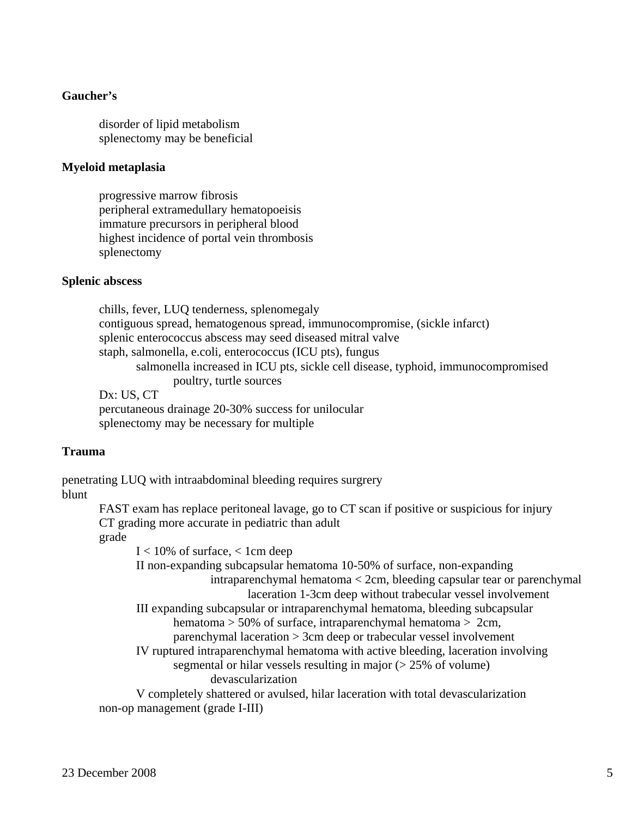### **Gaucher's**

 disorder of lipid metabolism splenectomy may be beneficial

#### **Myeloid metaplasia**

 progressive marrow fibrosis peripheral extramedullary hematopoeisis immature precursors in peripheral blood highest incidence of portal vein thrombosis splenectomy

#### **Splenic abscess**

 chills, fever, LUQ tenderness, splenomegaly contiguous spread, hematogenous spread, immunocompromise, (sickle infarct) splenic enterococcus abscess may seed diseased mitral valve staph, salmonella, e.coli, enterococcus (ICU pts), fungus salmonella increased in ICU pts, sickle cell disease, typhoid, immunocompromised poultry, turtle sources Dx: US, CT

 percutaneous drainage 20-30% success for unilocular splenectomy may be necessary for multiple

#### **Trauma**

penetrating LUQ with intraabdominal bleeding requires surgrery blunt

> FAST exam has replace peritoneal lavage, go to CT scan if positive or suspicious for injury CT grading more accurate in pediatric than adult

 grade  $I < 10\%$  of surface,  $< 1$ cm deep II non-expanding subcapsular hematoma 10-50% of surface, non-expanding intraparenchymal hematoma < 2cm, bleeding capsular tear or parenchymal laceration 1-3cm deep without trabecular vessel involvement III expanding subcapsular or intraparenchymal hematoma, bleeding subcapsular hematoma > 50% of surface, intraparenchymal hematoma > 2cm, parenchymal laceration > 3cm deep or trabecular vessel involvement IV ruptured intraparenchymal hematoma with active bleeding, laceration involving segmental or hilar vessels resulting in major  $(> 25\%$  of volume) devascularization V completely shattered or avulsed, hilar laceration with total devascularization non-op management (grade I-III)